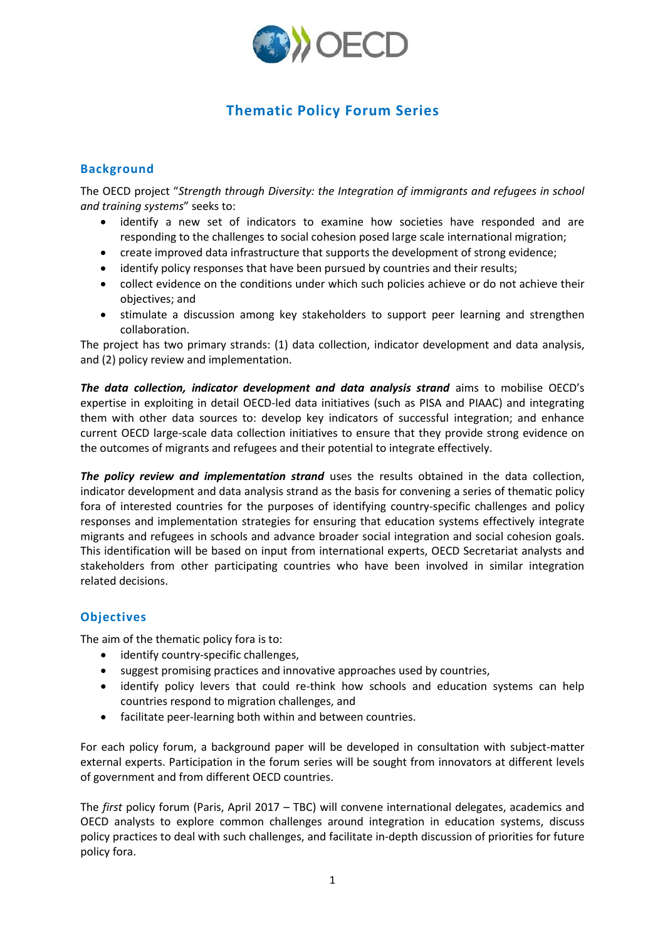

## **Thematic Policy Forum Series**

## **Background**

The OECD project "*Strength through Diversity: the Integration of immigrants and refugees in school and training systems*" seeks to:

- identify a new set of indicators to examine how societies have responded and are responding to the challenges to social cohesion posed large scale international migration;
- create improved data infrastructure that supports the development of strong evidence;
- identify policy responses that have been pursued by countries and their results;
- collect evidence on the conditions under which such policies achieve or do not achieve their objectives; and
- stimulate a discussion among key stakeholders to support peer learning and strengthen collaboration.

The project has two primary strands: (1) data collection, indicator development and data analysis, and (2) policy review and implementation.

*The data collection, indicator development and data analysis strand* aims to mobilise OECD's expertise in exploiting in detail OECD-led data initiatives (such as PISA and PIAAC) and integrating them with other data sources to: develop key indicators of successful integration; and enhance current OECD large-scale data collection initiatives to ensure that they provide strong evidence on the outcomes of migrants and refugees and their potential to integrate effectively.

*The policy review and implementation strand* uses the results obtained in the data collection, indicator development and data analysis strand as the basis for convening a series of thematic policy fora of interested countries for the purposes of identifying country-specific challenges and policy responses and implementation strategies for ensuring that education systems effectively integrate migrants and refugees in schools and advance broader social integration and social cohesion goals. This identification will be based on input from international experts, OECD Secretariat analysts and stakeholders from other participating countries who have been involved in similar integration related decisions.

## **Objectives**

The aim of the thematic policy fora is to:

- identify country-specific challenges,
- suggest promising practices and innovative approaches used by countries,
- identify policy levers that could re-think how schools and education systems can help countries respond to migration challenges, and
- facilitate peer-learning both within and between countries.

For each policy forum, a background paper will be developed in consultation with subject-matter external experts. Participation in the forum series will be sought from innovators at different levels of government and from different OECD countries.

The *first* policy forum (Paris, April 2017 – TBC) will convene international delegates, academics and OECD analysts to explore common challenges around integration in education systems, discuss policy practices to deal with such challenges, and facilitate in-depth discussion of priorities for future policy fora.